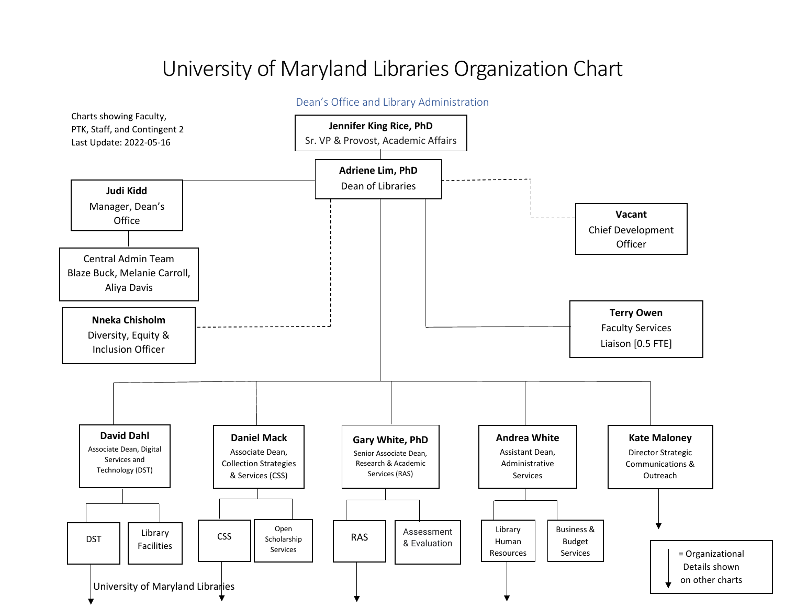# University of Maryland Libraries Organization Chart

#### University of Maryland Libraries Dean's Office and Library Administration Charts showing Faculty, PTK, Staff, and Contingent 2 Last Update: 2022-05-16 **Jennifer King Rice, PhD** Sr. VP & Provost, Academic Affairs **Adriene Lim, PhD** Dean of Libraries **Vacant** Chief Development **Officer Judi Kidd** Manager, Dean's **Office Nneka Chisholm** Diversity, Equity & Inclusion Officer Central Admin Team Blaze Buck, Melanie Carroll, Aliya Davis **David Dahl** Associate Dean, Digital Services and Technology (DST) **Kate Maloney** Director Strategic Communications & Outreach **Andrea White** Assistant Dean, Administrative Services **Gary White, PhD** Senior Associate Dean, Research & Academic Services (RAS) **Daniel Mack** Associate Dean, Collection Strategies & Services (CSS) DST | Library Facilities **CSS** Open Scholarship Services RAS **Assessment** & Evaluation **Terry Owen** Faculty Services Liaison [0.5 FTE] Library Human Resources Business & Budget Services  $\vert$   $\vert$   $\vert$  = Organizational Details shown on other charts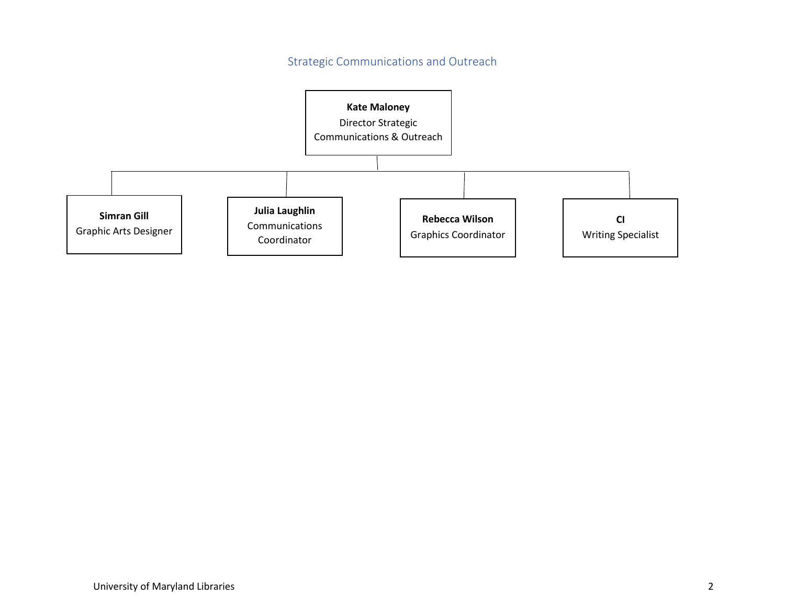Strategic Communications and Outreach

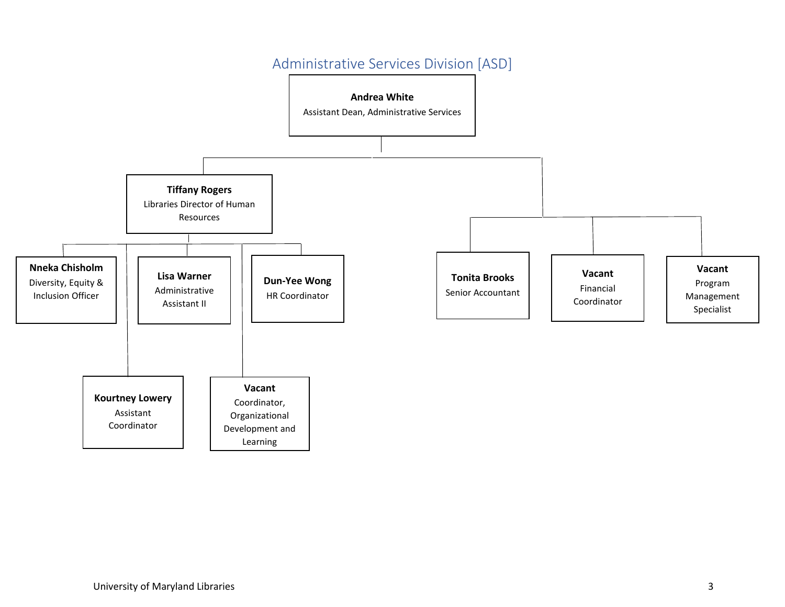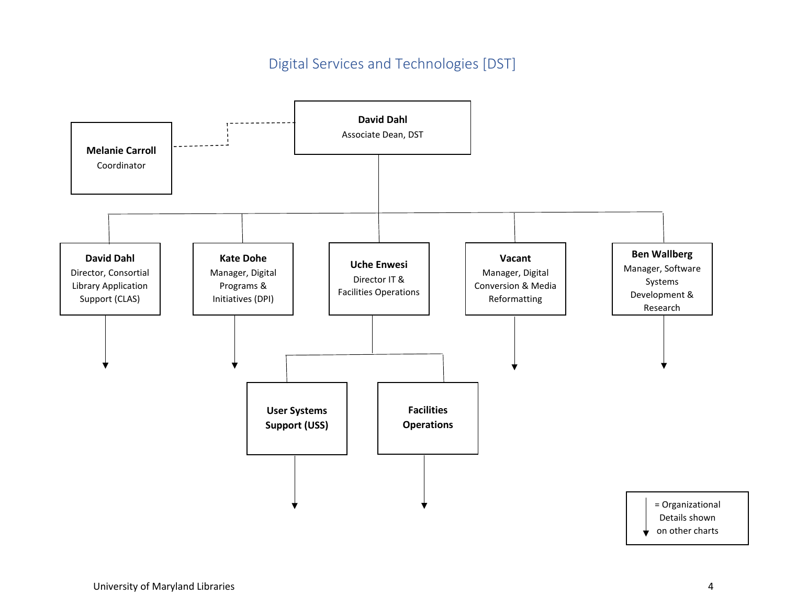### Digital Services and Technologies [DST]

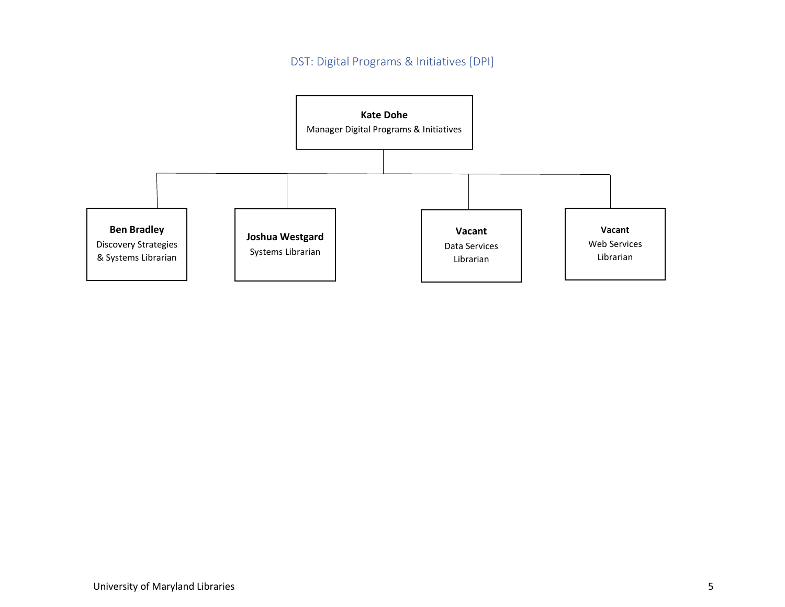#### DST: Digital Programs & Initiatives [DPI]

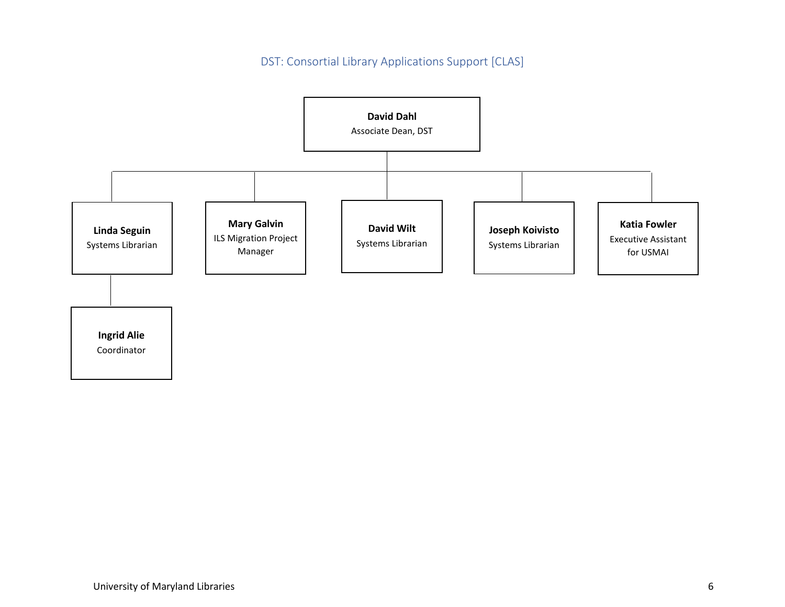DST: Consortial Library Applications Support [CLAS]

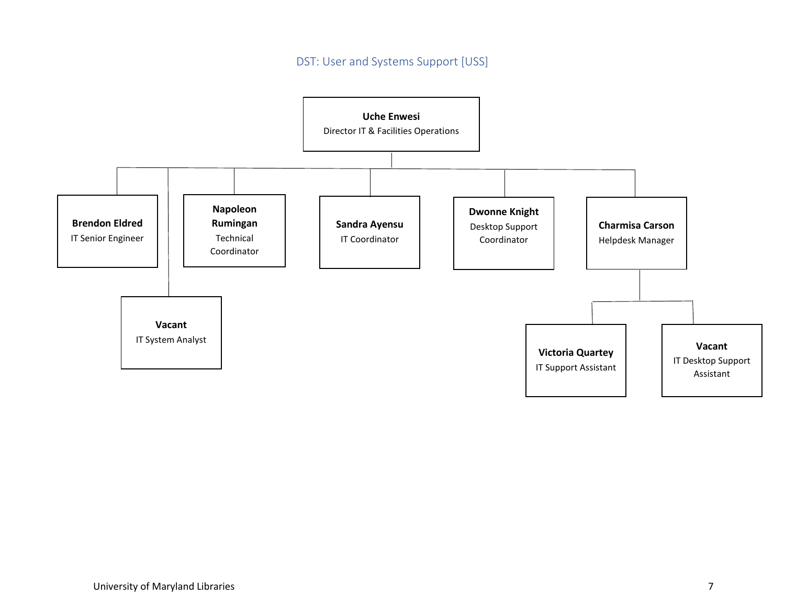DST: User and Systems Support [USS]

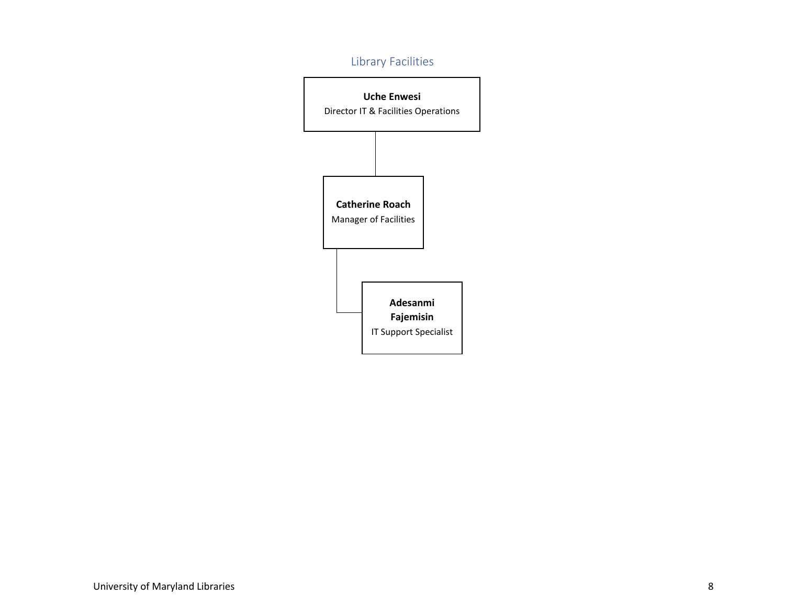### Library Facilities

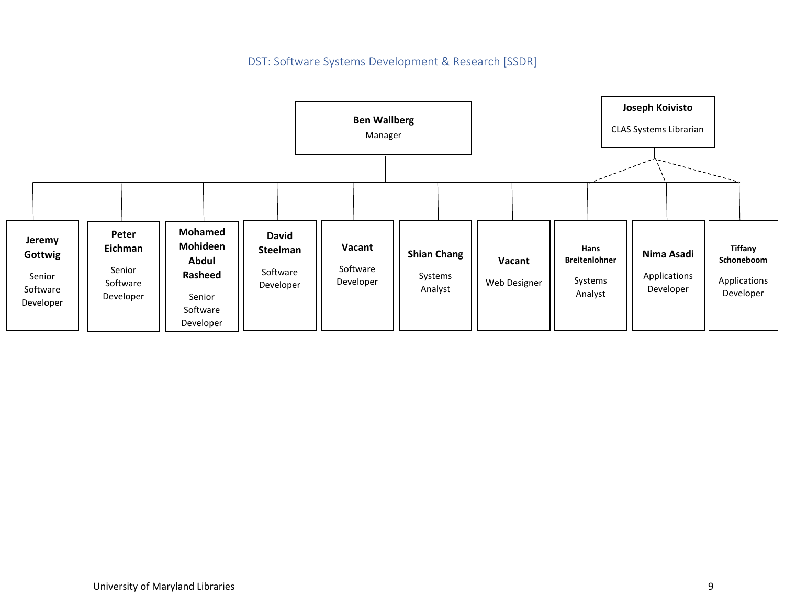DST: Software Systems Development & Research [SSDR]

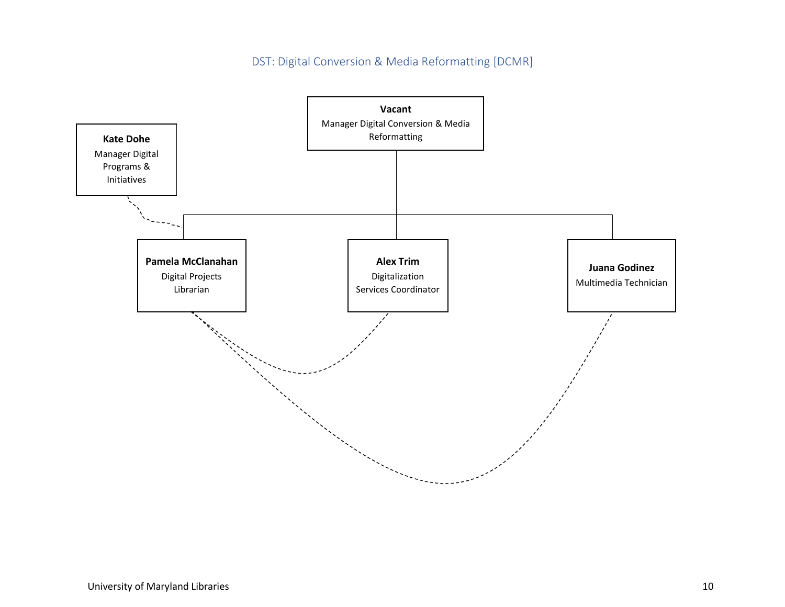DST: Digital Conversion & Media Reformatting [DCMR]

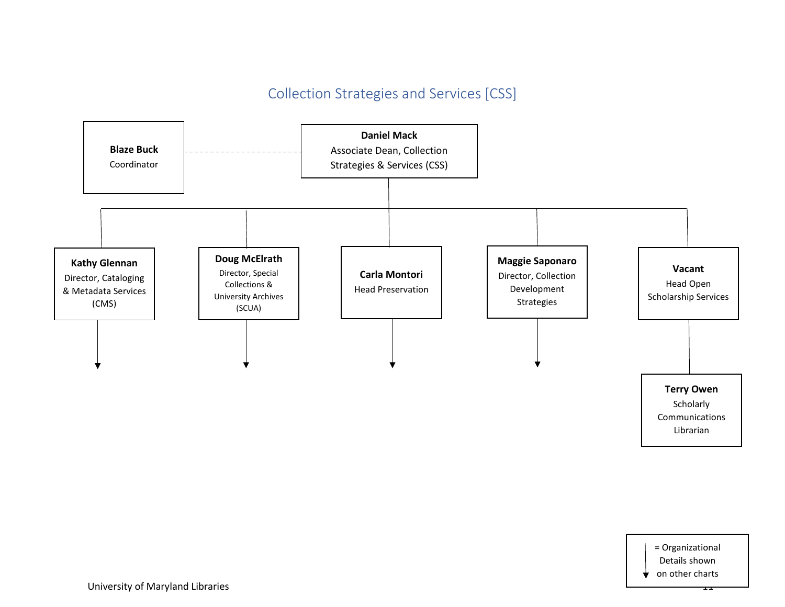## Collection Strategies and Services [CSS]



= Organizational Details shown on other charts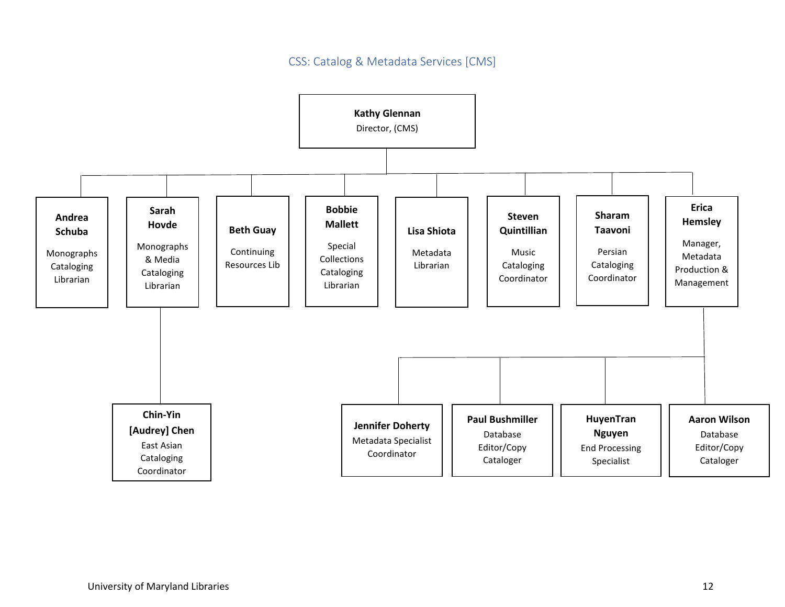#### CSS: Catalog & Metadata Services [CMS]

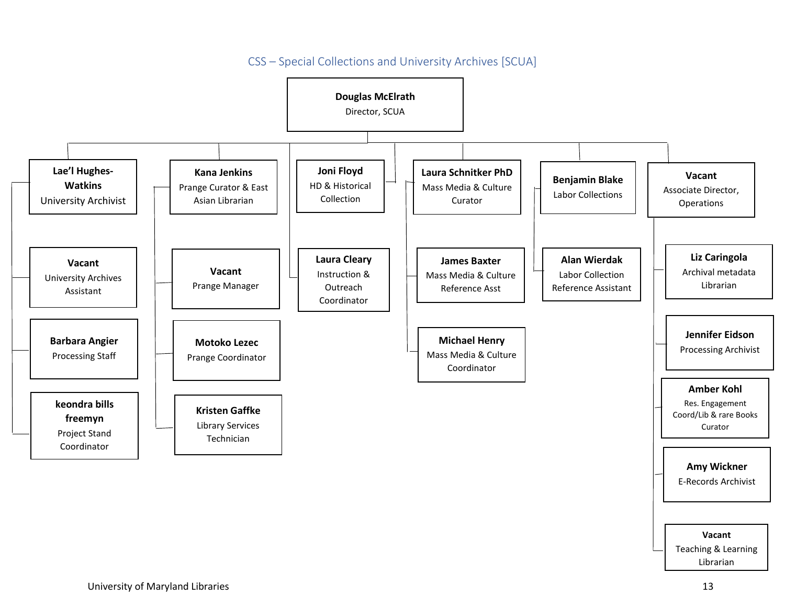

#### CSS – Special Collections and University Archives [SCUA]

University of Maryland Libraries 13

Teaching & Learning Librarian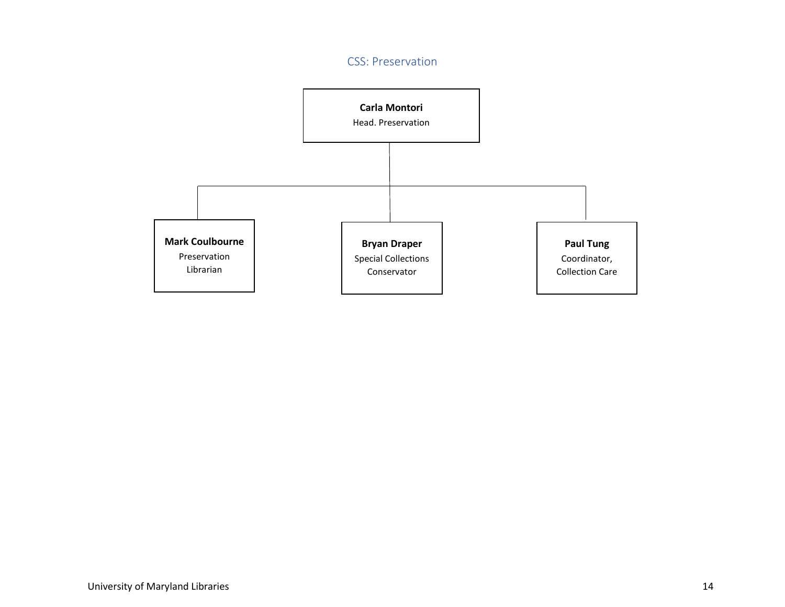#### CSS: Preservation

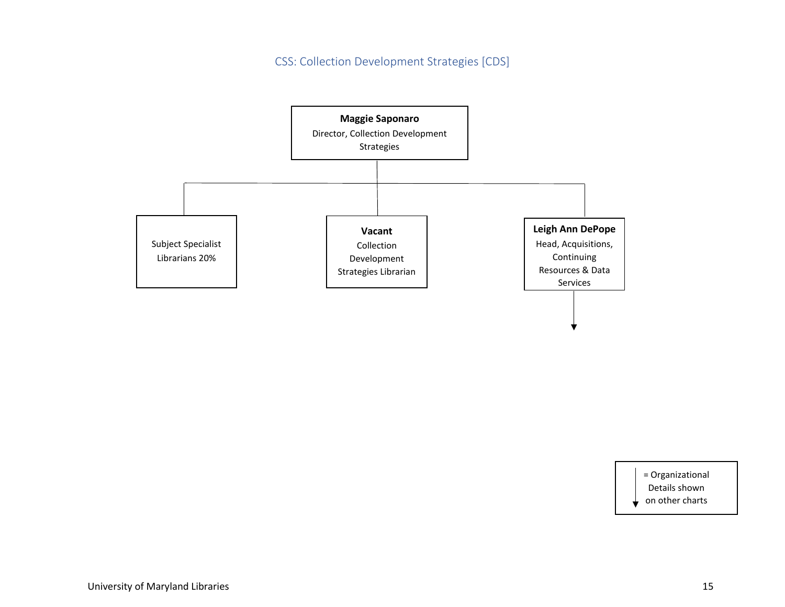CSS: Collection Development Strategies [CDS]



= Organizational

Details shown

on other charts÷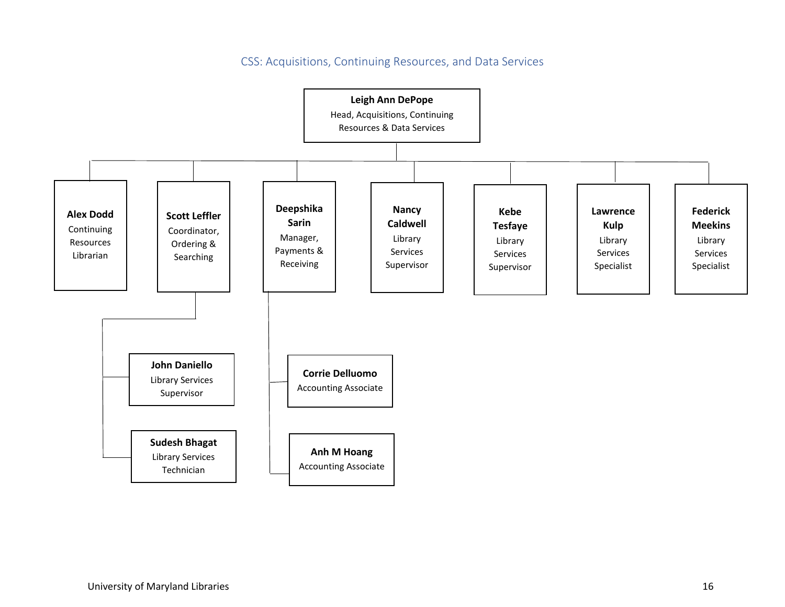CSS: Acquisitions, Continuing Resources, and Data Services

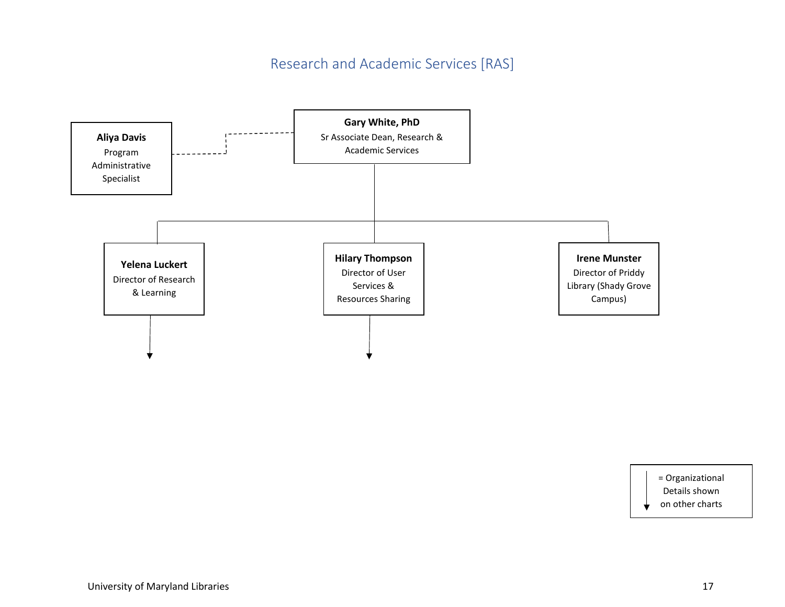### Research and Academic Services [RAS]



= Organizational Details shown on other charts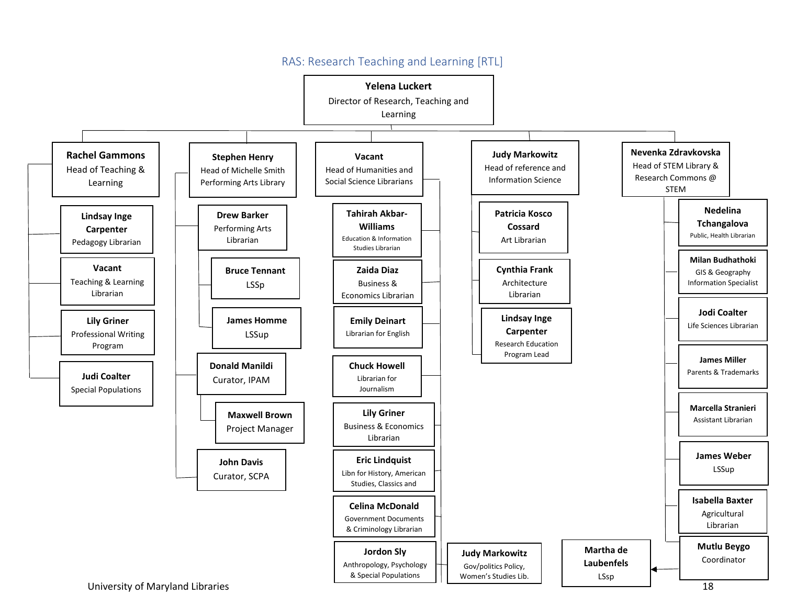

#### RAS: Research Teaching and Learning [RTL]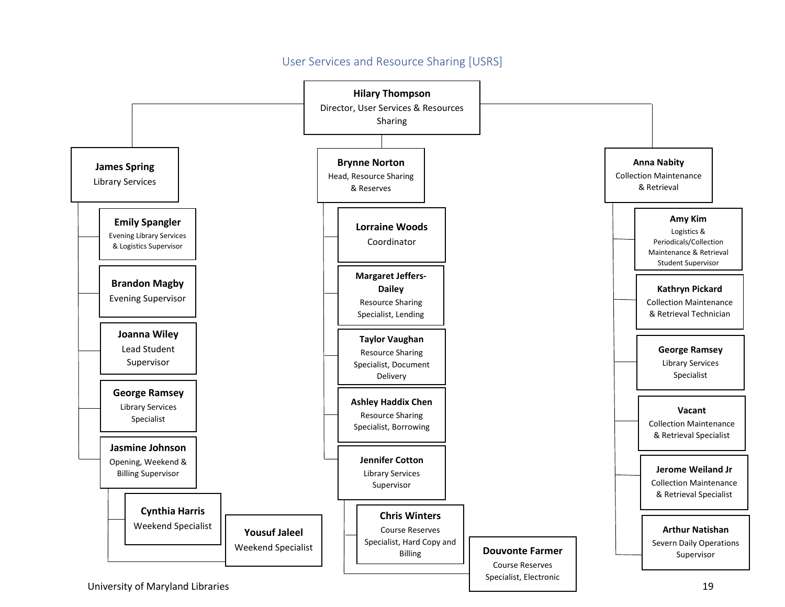#### User Services and Resource Sharing [USRS]